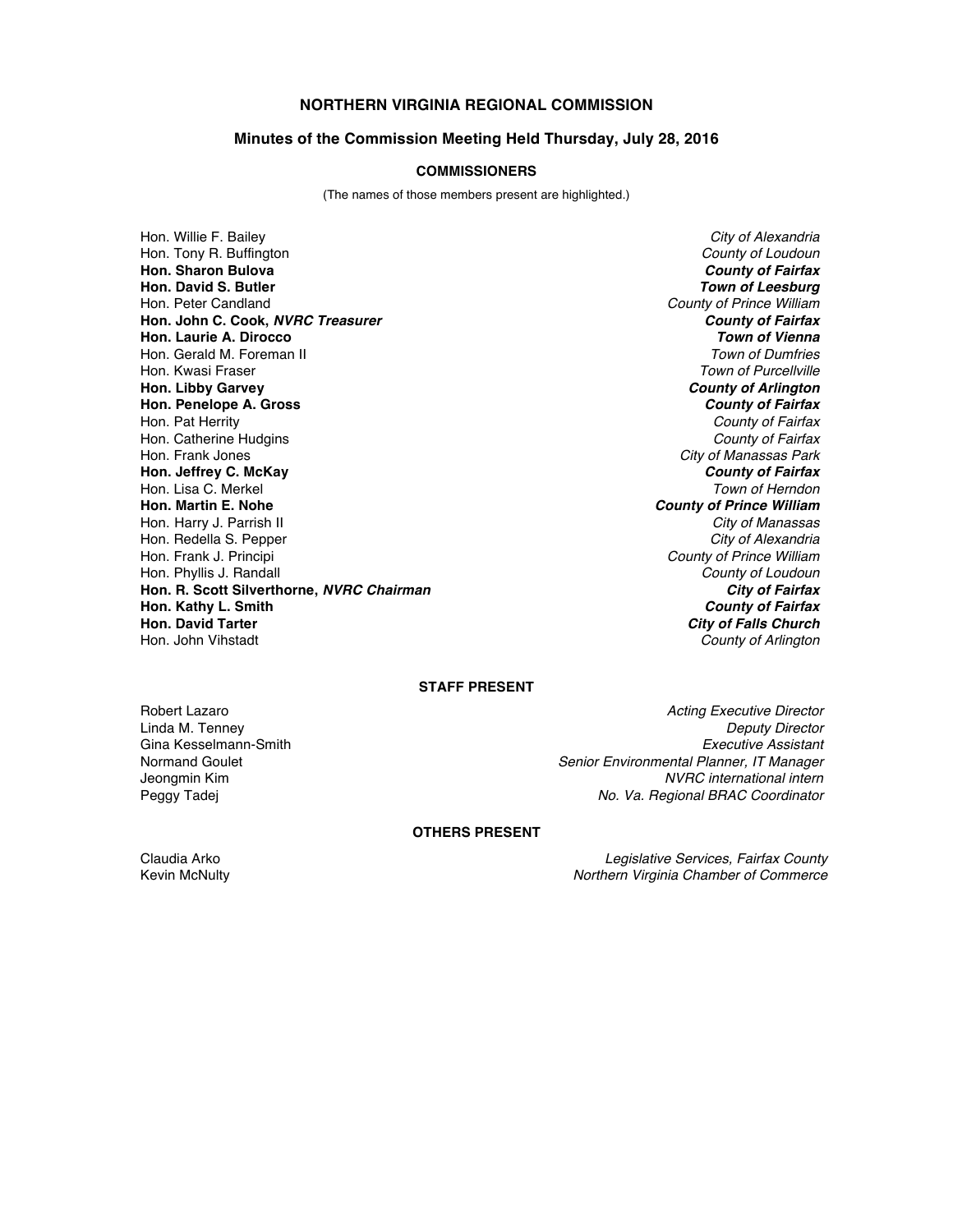# **NORTHERN VIRGINIA REGIONAL COMMISSION**

## **Minutes of the Commission Meeting Held Thursday, July 28, 2016**

#### **COMMISSIONERS**

(The names of those members present are highlighted.)

Hon. Willie F. Bailey *City of Alexandria* Hon. Tony R. Buffington *County of Loudoun* **Hon. Sharon Bulova** *County of Fairfax* **Hon. David S. Butler** *Town of Leesburg* Hon. Peter Candland *County of Prince William* **Hon. John C. Cook,** *NVRC Treasurer County of Fairfax* **Hon. Laurie A. Dirocco** *Town of Vienna* Hon. Gerald M. Foreman II<br>Hon. Kwasi Fraser **Hon. Libby Garvey** *County of Arlington* **Hon. Penelope A. Gross** Hon. Pat Herrity *County of Fairfax* Hon. Catherine Hudgins *County of Fairfax* Hon. Frank Jones *City of Manassas Park* **Hon. Jeffrey C. McKay** *County of Fairfax* Hon. Lisa C. Merkel *Town of Herndon* Hon. Harry J. Parrish II *City of Manassas* Hon. Redella S. Pepper *City of Alexandria* Hon. Phyllis J. Randall *County of Loudoun* **Hon. R. Scott Silverthorne,** *NVRC Chairman* **Hon. Kathy L. Smith** *County of Fairfax* **Hon. David Tarter** *City of Falls Church*

**Town of Purcellville County of Prince William County of Prince William<br>County of Loudoun County of Arlington** 

## **STAFF PRESENT**

**Linda M. Tenney** 

Robert Lazaro *Acting Executive Director* Gina Kesselmann-Smith *Executive Assistant* Normand Goulet *Senior Environmental Planner, IT Manager*  $NVRC$  international intern Peggy Tadej *No. Va. Regional BRAC Coordinator*

# **OTHERS PRESENT**

Claudia Arko *Legislative Services, Fairfax County* Kevin McNulty *Northern Virginia Chamber of Commerce*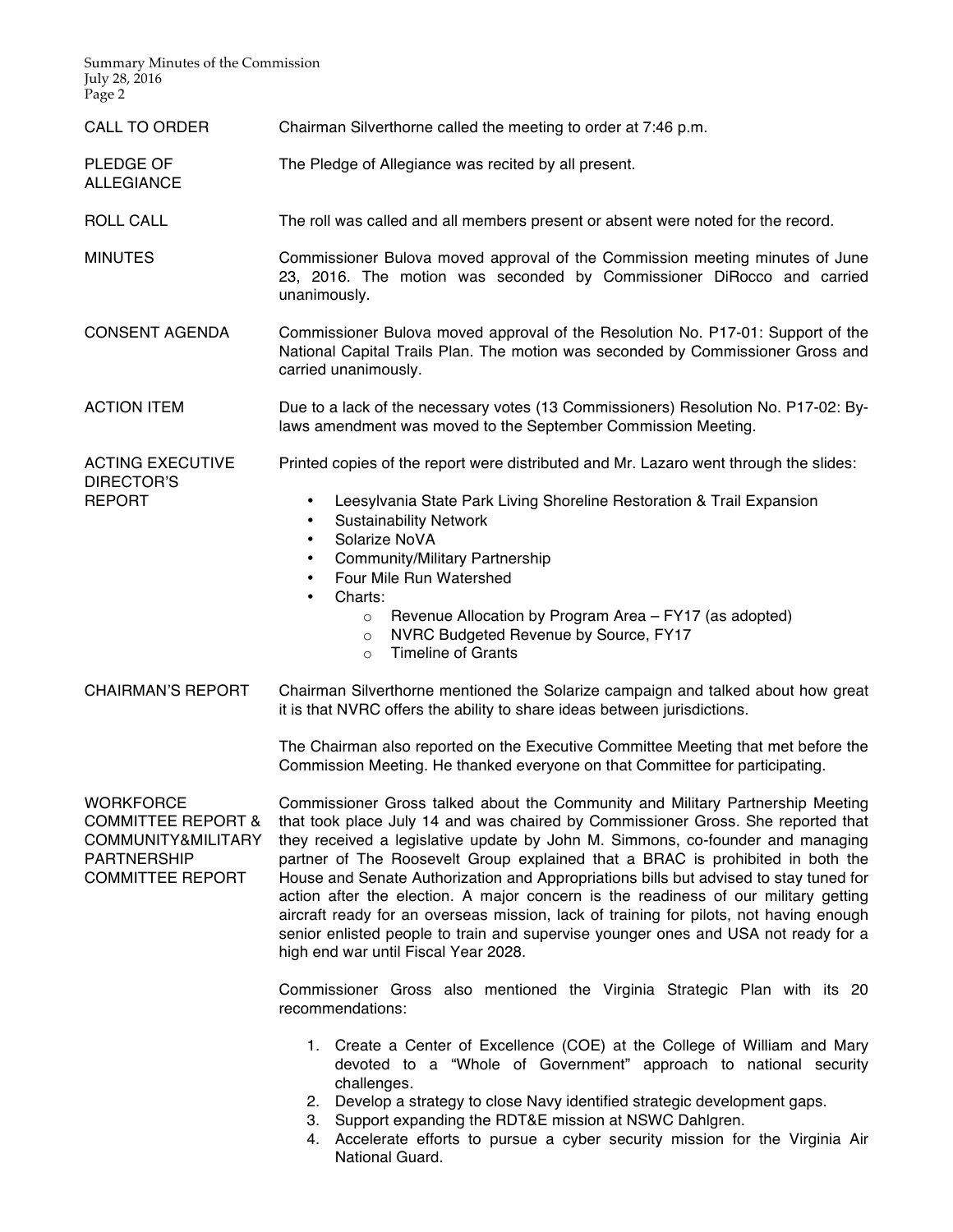Summary Minutes of the Commission July 28, 2016 Page 2

- CALL TO ORDER Chairman Silverthorne called the meeting to order at 7:46 p.m.
- PLEDGE OF ALLEGIANCE The Pledge of Allegiance was recited by all present.
- ROLL CALL The roll was called and all members present or absent were noted for the record.

MINUTES Commissioner Bulova moved approval of the Commission meeting minutes of June 23, 2016. The motion was seconded by Commissioner DiRocco and carried unanimously.

- CONSENT AGENDA Commissioner Bulova moved approval of the Resolution No. P17-01: Support of the National Capital Trails Plan. The motion was seconded by Commissioner Gross and carried unanimously.
- ACTION ITEM Due to a lack of the necessary votes (13 Commissioners) Resolution No. P17-02: Bylaws amendment was moved to the September Commission Meeting.

ACTING EXECUTIVE DIRECTOR'S REPORT

• Leesylvania State Park Living Shoreline Restoration & Trail Expansion

Printed copies of the report were distributed and Mr. Lazaro went through the slides:

- Sustainability Network
- Solarize NoVA
- Community/Military Partnership
- Four Mile Run Watershed
- Charts:
	- o Revenue Allocation by Program Area FY17 (as adopted)
	- o NVRC Budgeted Revenue by Source, FY17
	- o Timeline of Grants
- CHAIRMAN'S REPORT Chairman Silverthorne mentioned the Solarize campaign and talked about how great it is that NVRC offers the ability to share ideas between jurisdictions.

The Chairman also reported on the Executive Committee Meeting that met before the Commission Meeting. He thanked everyone on that Committee for participating.

**WORKFORCE** COMMITTEE REPORT & COMMUNITY&MILITARY PARTNERSHIP COMMITTEE REPORT

Commissioner Gross talked about the Community and Military Partnership Meeting that took place July 14 and was chaired by Commissioner Gross. She reported that they received a legislative update by John M. Simmons, co-founder and managing partner of The Roosevelt Group explained that a BRAC is prohibited in both the House and Senate Authorization and Appropriations bills but advised to stay tuned for action after the election. A major concern is the readiness of our military getting aircraft ready for an overseas mission, lack of training for pilots, not having enough senior enlisted people to train and supervise younger ones and USA not ready for a high end war until Fiscal Year 2028.

Commissioner Gross also mentioned the Virginia Strategic Plan with its 20 recommendations:

- 1. Create a Center of Excellence (COE) at the College of William and Mary devoted to a "Whole of Government" approach to national security challenges.
- 2. Develop a strategy to close Navy identified strategic development gaps.
- 3. Support expanding the RDT&E mission at NSWC Dahlgren.
- 4. Accelerate efforts to pursue a cyber security mission for the Virginia Air National Guard.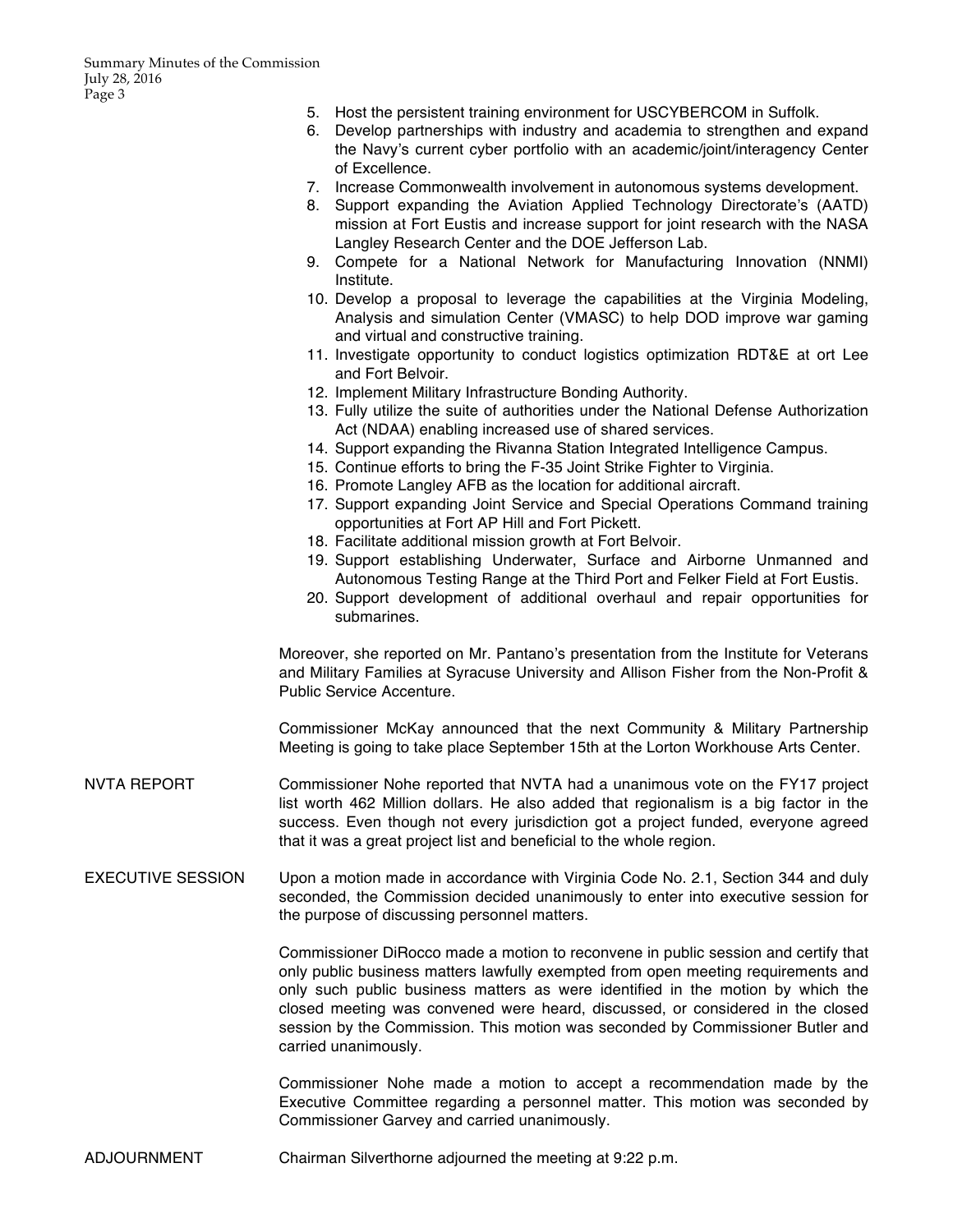- 5. Host the persistent training environment for USCYBERCOM in Suffolk.
- 6. Develop partnerships with industry and academia to strengthen and expand the Navy's current cyber portfolio with an academic/joint/interagency Center of Excellence.
- 7. Increase Commonwealth involvement in autonomous systems development.
- 8. Support expanding the Aviation Applied Technology Directorate's (AATD) mission at Fort Eustis and increase support for joint research with the NASA Langley Research Center and the DOE Jefferson Lab.
- 9. Compete for a National Network for Manufacturing Innovation (NNMI) Institute.
- 10. Develop a proposal to leverage the capabilities at the Virginia Modeling, Analysis and simulation Center (VMASC) to help DOD improve war gaming and virtual and constructive training.
- 11. Investigate opportunity to conduct logistics optimization RDT&E at ort Lee and Fort Belvoir.
- 12. Implement Military Infrastructure Bonding Authority.
- 13. Fully utilize the suite of authorities under the National Defense Authorization Act (NDAA) enabling increased use of shared services.
- 14. Support expanding the Rivanna Station Integrated Intelligence Campus.
- 15. Continue efforts to bring the F-35 Joint Strike Fighter to Virginia.
- 16. Promote Langley AFB as the location for additional aircraft.
- 17. Support expanding Joint Service and Special Operations Command training opportunities at Fort AP Hill and Fort Pickett.
- 18. Facilitate additional mission growth at Fort Belvoir.
- 19. Support establishing Underwater, Surface and Airborne Unmanned and Autonomous Testing Range at the Third Port and Felker Field at Fort Eustis.
- 20. Support development of additional overhaul and repair opportunities for submarines.

Moreover, she reported on Mr. Pantano's presentation from the Institute for Veterans and Military Families at Syracuse University and Allison Fisher from the Non-Profit & Public Service Accenture.

Commissioner McKay announced that the next Community & Military Partnership Meeting is going to take place September 15th at the Lorton Workhouse Arts Center.

- NVTA REPORT Commissioner Nohe reported that NVTA had a unanimous vote on the FY17 project list worth 462 Million dollars. He also added that regionalism is a big factor in the success. Even though not every jurisdiction got a project funded, everyone agreed that it was a great project list and beneficial to the whole region.
- EXECUTIVE SESSION Upon a motion made in accordance with Virginia Code No. 2.1, Section 344 and duly seconded, the Commission decided unanimously to enter into executive session for the purpose of discussing personnel matters.

Commissioner DiRocco made a motion to reconvene in public session and certify that only public business matters lawfully exempted from open meeting requirements and only such public business matters as were identified in the motion by which the closed meeting was convened were heard, discussed, or considered in the closed session by the Commission. This motion was seconded by Commissioner Butler and carried unanimously.

Commissioner Nohe made a motion to accept a recommendation made by the Executive Committee regarding a personnel matter. This motion was seconded by Commissioner Garvey and carried unanimously.

ADJOURNMENT Chairman Silverthorne adjourned the meeting at 9:22 p.m.